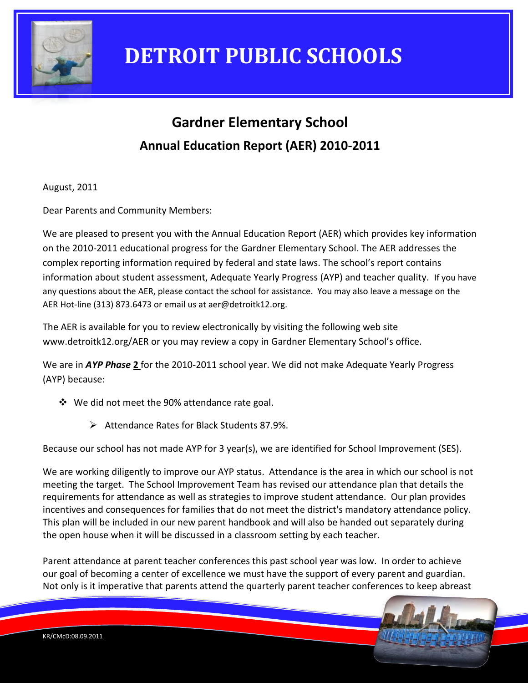

### **Gardner Elementary School Annual Education Report (AER) 2010-2011**

August, 2011

Dear Parents and Community Members:

We are pleased to present you with the Annual Education Report (AER) which provides key information on the 2010-2011 educational progress for the Gardner Elementary School. The AER addresses the complex reporting information required by federal and state laws. The school's report contains information about student assessment, Adequate Yearly Progress (AYP) and teacher quality. If you have any questions about the AER, please contact the school for assistance. You may also leave a message on the AER Hot-line (313) 873.6473 or email us at aer@detroitk12.org.

The AER is available for you to review electronically by visiting the following web site www.detroitk12.org/AER or you may review a copy in Gardner Elementary School's office.

We are in *AYP Phase* **2** for the 2010-2011 school year. We did not make Adequate Yearly Progress (AYP) because:

- We did not meet the 90% attendance rate goal.
	- Attendance Rates for Black Students 87.9%.

Because our school has not made AYP for 3 year(s), we are identified for School Improvement (SES).

We are working diligently to improve our AYP status. Attendance is the area in which our school is not meeting the target. The School Improvement Team has revised our attendance plan that details the requirements for attendance as well as strategies to improve student attendance. Our plan provides incentives and consequences for families that do not meet the district's mandatory attendance policy. This plan will be included in our new parent handbook and will also be handed out separately during the open house when it will be discussed in a classroom setting by each teacher.

Parent attendance at parent teacher conferences this past school year was low. In order to achieve our goal of becoming a center of excellence we must have the support of every parent and guardian. Not only is it imperative that parents attend the quarterly parent teacher conferences to keep abreast

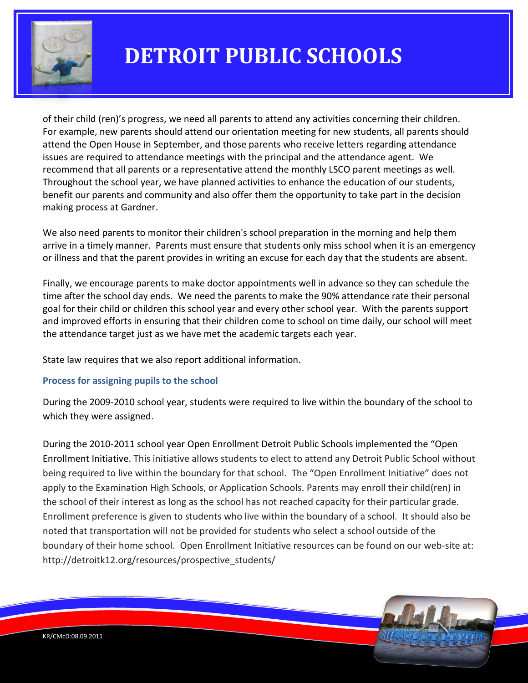

of their child (ren)'s progress, we need all parents to attend any activities concerning their children. For example, new parents should attend our orientation meeting for new students, all parents should attend the Open House in September, and those parents who receive letters regarding attendance issues are required to attendance meetings with the principal and the attendance agent. We recommend that all parents or a representative attend the monthly LSCO parent meetings as well. Throughout the school year, we have planned activities to enhance the education of our students, benefit our parents and community and also offer them the opportunity to take part in the decision making process at Gardner.

We also need parents to monitor their children's school preparation in the morning and help them arrive in a timely manner. Parents must ensure that students only miss school when it is an emergency or illness and that the parent provides in writing an excuse for each day that the students are absent.

Finally, we encourage parents to make doctor appointments well in advance so they can schedule the time after the school day ends. We need the parents to make the 90% attendance rate their personal goal for their child or children this school year and every other school year. With the parents support and improved efforts in ensuring that their children come to school on time daily, our school will meet the attendance target just as we have met the academic targets each year.

State law requires that we also report additional information.

### **Process for assigning pupils to the school**

During the 2009-2010 school year, students were required to live within the boundary of the school to which they were assigned.

During the 2010-2011 school year Open Enrollment Detroit Public Schools implemented the "Open Enrollment Initiative. This initiative allows students to elect to attend any Detroit Public School without being required to live within the boundary for that school. The "Open Enrollment Initiative" does not apply to the Examination High Schools, or Application Schools. Parents may enroll their child(ren) in the school of their interest as long as the school has not reached capacity for their particular grade. Enrollment preference is given to students who live within the boundary of a school. It should also be noted that transportation will not be provided for students who select a school outside of the boundary of their home school. Open Enrollment Initiative resources can be found on our web-site at: http://detroitk12.org/resources/prospective\_students/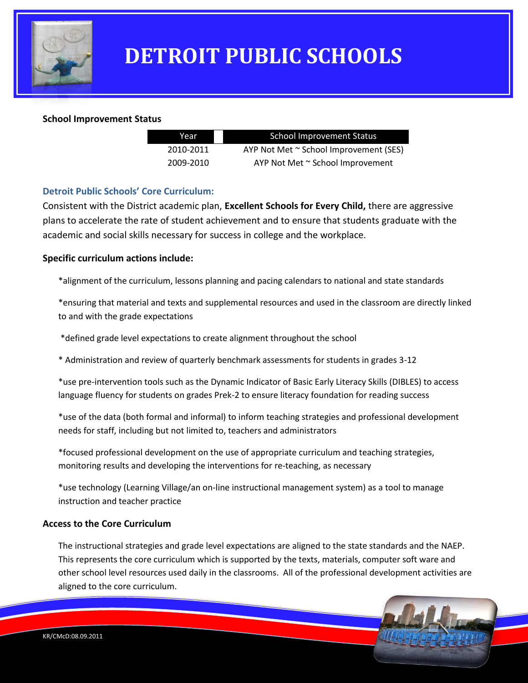

#### **School Improvement Status**

| School Improvement Status              | Year      |  |
|----------------------------------------|-----------|--|
| AYP Not Met ~ School Improvement (SES) | 2010-2011 |  |
| AYP Not Met ~ School Improvement       | 2009-2010 |  |

#### **Detroit Public Schools' Core Curriculum:**

Consistent with the District academic plan, **Excellent Schools for Every Child,** there are aggressive plans to accelerate the rate of student achievement and to ensure that students graduate with the academic and social skills necessary for success in college and the workplace.

#### **Specific curriculum actions include:**

\*alignment of the curriculum, lessons planning and pacing calendars to national and state standards

\*ensuring that material and texts and supplemental resources and used in the classroom are directly linked to and with the grade expectations

\*defined grade level expectations to create alignment throughout the school

\* Administration and review of quarterly benchmark assessments for students in grades 3-12

\*use pre-intervention tools such as the Dynamic Indicator of Basic Early Literacy Skills (DIBLES) to access language fluency for students on grades Prek-2 to ensure literacy foundation for reading success

\*use of the data (both formal and informal) to inform teaching strategies and professional development needs for staff, including but not limited to, teachers and administrators

\*focused professional development on the use of appropriate curriculum and teaching strategies, monitoring results and developing the interventions for re-teaching, as necessary

\*use technology (Learning Village/an on-line instructional management system) as a tool to manage instruction and teacher practice

#### **Access to the Core Curriculum**

The instructional strategies and grade level expectations are aligned to the state standards and the NAEP. This represents the core curriculum which is supported by the texts, materials, computer soft ware and other school level resources used daily in the classrooms. All of the professional development activities are aligned to the core curriculum.

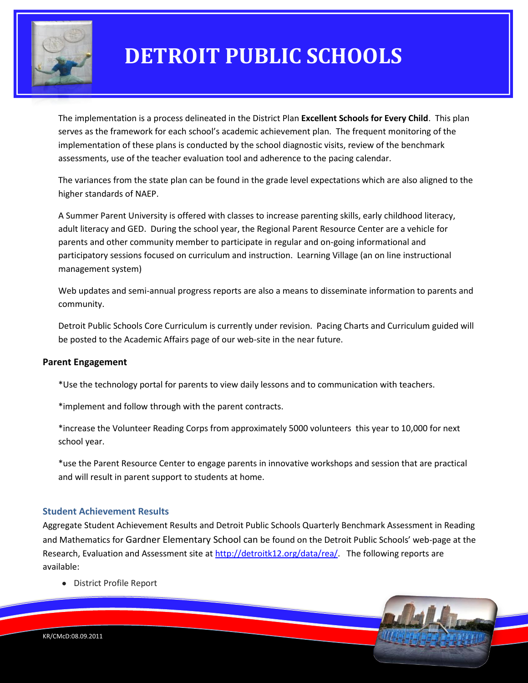

The implementation is a process delineated in the District Plan **Excellent Schools for Every Child**. This plan serves as the framework for each school's academic achievement plan. The frequent monitoring of the implementation of these plans is conducted by the school diagnostic visits, review of the benchmark assessments, use of the teacher evaluation tool and adherence to the pacing calendar.

The variances from the state plan can be found in the grade level expectations which are also aligned to the higher standards of NAEP.

A Summer Parent University is offered with classes to increase parenting skills, early childhood literacy, adult literacy and GED. During the school year, the Regional Parent Resource Center are a vehicle for parents and other community member to participate in regular and on-going informational and participatory sessions focused on curriculum and instruction. Learning Village (an on line instructional management system)

Web updates and semi-annual progress reports are also a means to disseminate information to parents and community.

Detroit Public Schools Core Curriculum is currently under revision. Pacing Charts and Curriculum guided will be posted to the Academic Affairs page of our web-site in the near future.

#### **Parent Engagement**

\*Use the technology portal for parents to view daily lessons and to communication with teachers.

\*implement and follow through with the parent contracts.

\*increase the Volunteer Reading Corps from approximately 5000 volunteers this year to 10,000 for next school year.

\*use the Parent Resource Center to engage parents in innovative workshops and session that are practical and will result in parent support to students at home.

#### **Student Achievement Results**

Aggregate Student Achievement Results and Detroit Public Schools Quarterly Benchmark Assessment in Reading and Mathematics for Gardner Elementary School can be found on the Detroit Public Schools' web-page at the Research, Evaluation and Assessment site at [http://detroitk12.org/data/rea/.](http://detroitk12.org/data/rea/) The following reports are available:

District Profile Report